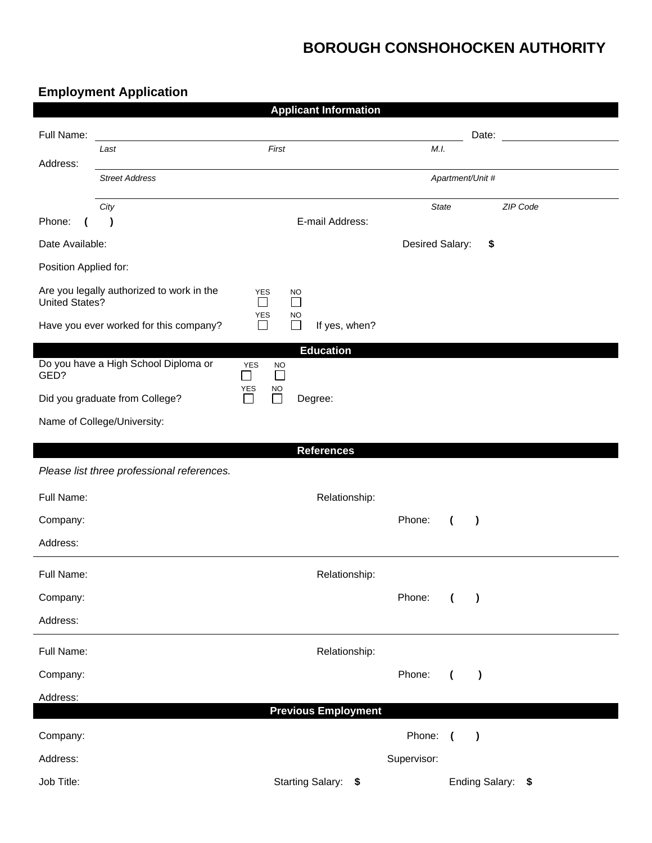## **BOROUGH CONSHOHOCKEN AUTHORITY**

## **Employment Application**

|                       |                                            | <b>Applicant Information</b>                                         |                 |                                 |                   |  |
|-----------------------|--------------------------------------------|----------------------------------------------------------------------|-----------------|---------------------------------|-------------------|--|
| Full Name:            |                                            |                                                                      |                 | Date:                           |                   |  |
| Address:              | Last                                       | First                                                                | M.I.            |                                 |                   |  |
|                       | <b>Street Address</b>                      |                                                                      |                 | Apartment/Unit #                |                   |  |
|                       | City                                       |                                                                      | State           |                                 | ZIP Code          |  |
| Phone:                | $\lambda$                                  | E-mail Address:                                                      |                 |                                 |                   |  |
| Date Available:       |                                            |                                                                      | Desired Salary: |                                 | \$                |  |
| Position Applied for: |                                            |                                                                      |                 |                                 |                   |  |
| <b>United States?</b> | Are you legally authorized to work in the  | YES<br>NO<br>П<br>$\Box$                                             |                 |                                 |                   |  |
|                       | Have you ever worked for this company?     | YES<br><b>NO</b><br>$\Box$<br>If yes, when?<br>$\Box$                |                 |                                 |                   |  |
|                       | Do you have a High School Diploma or       | <b>Education</b>                                                     |                 |                                 |                   |  |
| GED?                  |                                            | <b>YES</b><br><b>NO</b><br>$\Box$<br>$\Box$                          |                 |                                 |                   |  |
|                       | Did you graduate from College?             | YES<br><b>NO</b><br>$\Box$<br>Degree:<br>$\mathcal{L}_{\mathcal{A}}$ |                 |                                 |                   |  |
|                       | Name of College/University:                |                                                                      |                 |                                 |                   |  |
|                       |                                            | <b>References</b>                                                    |                 |                                 |                   |  |
|                       | Please list three professional references. |                                                                      |                 |                                 |                   |  |
| Full Name:            |                                            | Relationship:                                                        |                 |                                 |                   |  |
| Company:              |                                            |                                                                      | Phone:          | $\overline{ }$<br>$\lambda$     |                   |  |
| Address:              |                                            |                                                                      |                 |                                 |                   |  |
| Full Name:            |                                            | Relationship:                                                        |                 |                                 |                   |  |
| Company:              |                                            |                                                                      | Phone:          | $\overline{ }$<br>$\rightarrow$ |                   |  |
| Address:              |                                            |                                                                      |                 |                                 |                   |  |
| Full Name:            |                                            | Relationship:                                                        |                 |                                 |                   |  |
| Company:              |                                            |                                                                      | Phone:          | $\overline{ }$<br>$\lambda$     |                   |  |
| Address:              |                                            |                                                                      |                 |                                 |                   |  |
|                       |                                            | <b>Previous Employment</b>                                           |                 |                                 |                   |  |
| Company:              |                                            |                                                                      | Phone: (        | $\rightarrow$                   |                   |  |
| Address:              |                                            |                                                                      | Supervisor:     |                                 |                   |  |
| Job Title:            |                                            | Starting Salary: \$                                                  |                 |                                 | Ending Salary: \$ |  |
|                       |                                            |                                                                      |                 |                                 |                   |  |